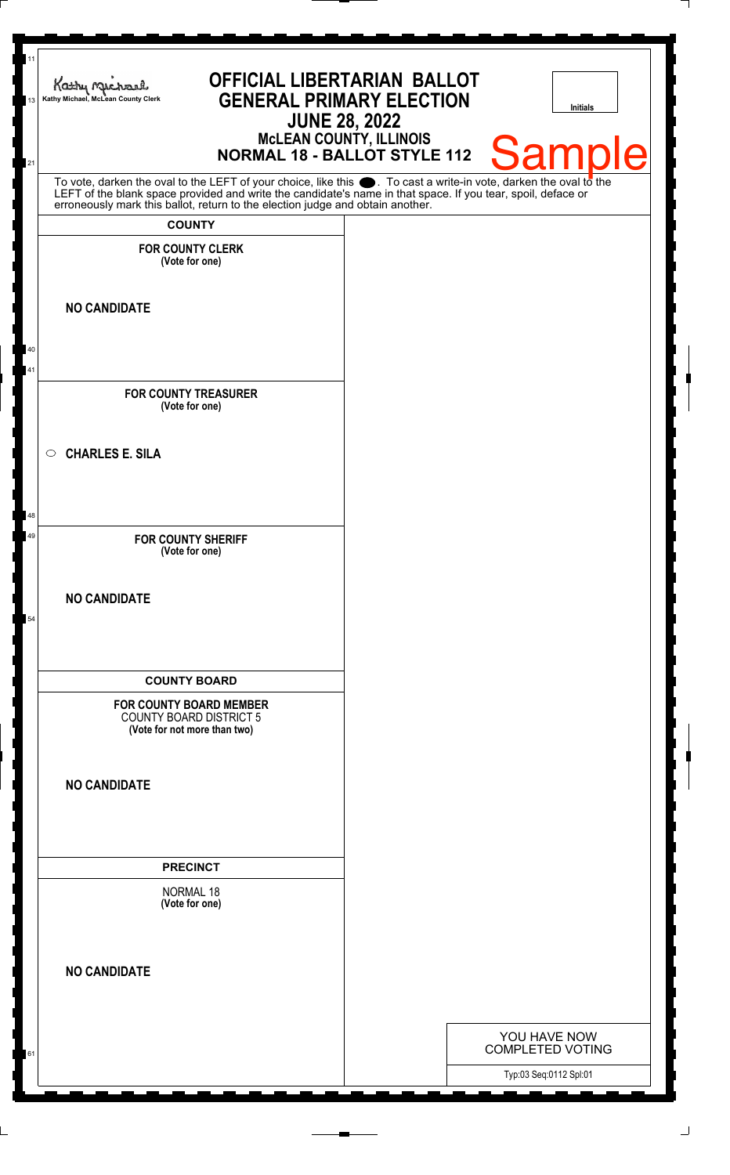| 11<br>13 | <b>OFFICIAL LIBERTARIAN BALLOT</b><br>Kathy Michael<br><b>GENERAL PRIMARY ELECTION</b><br>Kathy Michael, McLean County Clerk<br><b>JUNE 28, 2022</b>                                                                                           | <b>Initials</b>                                                   |
|----------|------------------------------------------------------------------------------------------------------------------------------------------------------------------------------------------------------------------------------------------------|-------------------------------------------------------------------|
| 21       | McLEAN COUNTY, ILLINOIS<br>NORMAL 18 - BALLOT STYLE 112                                                                                                                                                                                        | Sample                                                            |
|          | To vote, darken the oval to the LEFT of your choice, like this . To cast a write-in vote, darken the oval to the LEFT of the blank space provided and write the candidate's name in that space. If you tear, spoil, deface or<br><b>COUNTY</b> |                                                                   |
|          | <b>FOR COUNTY CLERK</b><br>(Vote for one)                                                                                                                                                                                                      |                                                                   |
|          | <b>NO CANDIDATE</b>                                                                                                                                                                                                                            |                                                                   |
| 40<br>41 |                                                                                                                                                                                                                                                |                                                                   |
|          | <b>FOR COUNTY TREASURER</b><br>(Vote for one)                                                                                                                                                                                                  |                                                                   |
|          | <b>CHARLES E. SILA</b><br>$\circ$                                                                                                                                                                                                              |                                                                   |
| 48       |                                                                                                                                                                                                                                                |                                                                   |
| 49       | <b>FOR COUNTY SHERIFF</b><br>(Vote for one)                                                                                                                                                                                                    |                                                                   |
| 54       | <b>NO CANDIDATE</b>                                                                                                                                                                                                                            |                                                                   |
|          | <b>COUNTY BOARD</b>                                                                                                                                                                                                                            |                                                                   |
|          | <b>FOR COUNTY BOARD MEMBER</b><br><b>COUNTY BOARD DISTRICT 5</b><br>(Vote for not more than two)                                                                                                                                               |                                                                   |
|          | <b>NO CANDIDATE</b>                                                                                                                                                                                                                            |                                                                   |
|          | <b>PRECINCT</b>                                                                                                                                                                                                                                |                                                                   |
|          | <b>NORMAL 18</b><br>(Vote for one)                                                                                                                                                                                                             |                                                                   |
|          | <b>NO CANDIDATE</b>                                                                                                                                                                                                                            |                                                                   |
|          |                                                                                                                                                                                                                                                |                                                                   |
| 61       |                                                                                                                                                                                                                                                | YOU HAVE NOW<br><b>COMPLETED VOTING</b><br>Typ:03 Seq:0112 Spl:01 |

 $\perp$